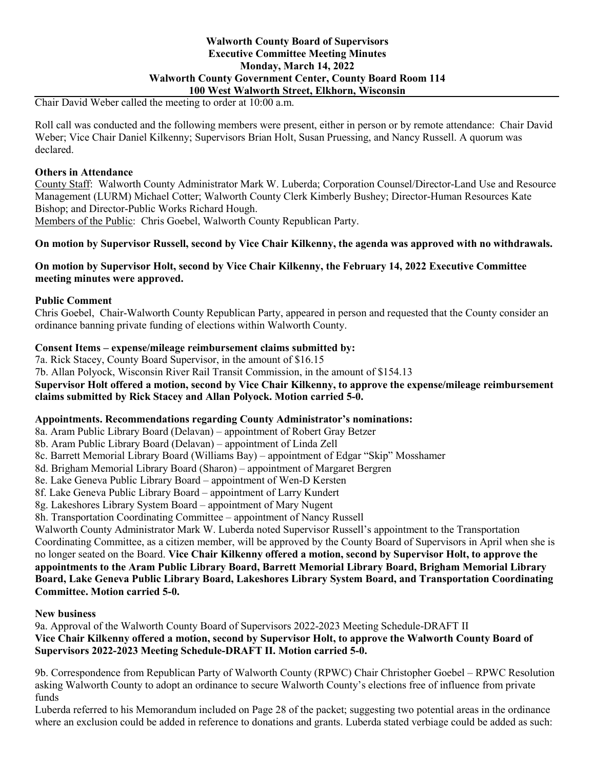### **Walworth County Board of Supervisors Executive Committee Meeting Minutes Monday, March 14, 2022 Walworth County Government Center, County Board Room 114 100 West Walworth Street, Elkhorn, Wisconsin**

Chair David Weber called the meeting to order at 10:00 a.m.

Roll call was conducted and the following members were present, either in person or by remote attendance: Chair David Weber; Vice Chair Daniel Kilkenny; Supervisors Brian Holt, Susan Pruessing, and Nancy Russell. A quorum was declared.

### **Others in Attendance**

County Staff: Walworth County Administrator Mark W. Luberda; Corporation Counsel/Director-Land Use and Resource Management (LURM) Michael Cotter; Walworth County Clerk Kimberly Bushey; Director-Human Resources Kate Bishop; and Director-Public Works Richard Hough.

Members of the Public: Chris Goebel, Walworth County Republican Party.

### **On motion by Supervisor Russell, second by Vice Chair Kilkenny, the agenda was approved with no withdrawals.**

## **On motion by Supervisor Holt, second by Vice Chair Kilkenny, the February 14, 2022 Executive Committee meeting minutes were approved.**

#### **Public Comment**

Chris Goebel, Chair-Walworth County Republican Party, appeared in person and requested that the County consider an ordinance banning private funding of elections within Walworth County.

### **Consent Items – expense/mileage reimbursement claims submitted by:**

7a. Rick Stacey, County Board Supervisor, in the amount of \$16.15 7b. Allan Polyock, Wisconsin River Rail Transit Commission, in the amount of \$154.13 **Supervisor Holt offered a motion, second by Vice Chair Kilkenny, to approve the expense/mileage reimbursement claims submitted by Rick Stacey and Allan Polyock. Motion carried 5-0.**

### **Appointments. Recommendations regarding County Administrator's nominations:**

8a. Aram Public Library Board (Delavan) – appointment of Robert Gray Betzer

8b. Aram Public Library Board (Delavan) – appointment of Linda Zell

8c. Barrett Memorial Library Board (Williams Bay) – appointment of Edgar "Skip" Mosshamer

8d. Brigham Memorial Library Board (Sharon) – appointment of Margaret Bergren

8e. Lake Geneva Public Library Board – appointment of Wen-D Kersten

8f. Lake Geneva Public Library Board – appointment of Larry Kundert

8g. Lakeshores Library System Board – appointment of Mary Nugent

8h. Transportation Coordinating Committee – appointment of Nancy Russell

Walworth County Administrator Mark W. Luberda noted Supervisor Russell's appointment to the Transportation Coordinating Committee, as a citizen member, will be approved by the County Board of Supervisors in April when she is no longer seated on the Board. **Vice Chair Kilkenny offered a motion, second by Supervisor Holt, to approve the appointments to the Aram Public Library Board, Barrett Memorial Library Board, Brigham Memorial Library Board, Lake Geneva Public Library Board, Lakeshores Library System Board, and Transportation Coordinating Committee. Motion carried 5-0.**

### **New business**

9a. Approval of the Walworth County Board of Supervisors 2022-2023 Meeting Schedule-DRAFT II **Vice Chair Kilkenny offered a motion, second by Supervisor Holt, to approve the Walworth County Board of Supervisors 2022-2023 Meeting Schedule-DRAFT II. Motion carried 5-0.**

9b. Correspondence from Republican Party of Walworth County (RPWC) Chair Christopher Goebel – RPWC Resolution asking Walworth County to adopt an ordinance to secure Walworth County's elections free of influence from private funds

Luberda referred to his Memorandum included on Page 28 of the packet; suggesting two potential areas in the ordinance where an exclusion could be added in reference to donations and grants. Luberda stated verbiage could be added as such: